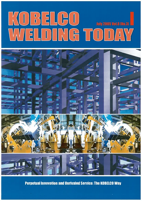# KOBELGO **July 2005 Vol.8 INc** WELDING TODA



**Perpetual Innovation and Unrivaled Service: The KOBELCO Way**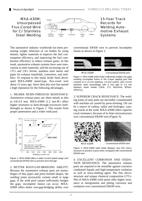# MXA-430M: Unsurpassed Flux-Cored Wire for Cr Stainless Steel Welding



15-Year Track Records for Welding Automotive Exhaust Systems

The automotive industry worldwide has been promoting weight reduction of car bodies by using thinner, lighter materials to improve the fuel consumption efficiency, and improving the fuel combustion efficiency to reduce exhaust gases. In this trend, automotive exhaust systems have seen innovations in steel materials, and the increasing use of 17Cr and 13Cr ferritic stainless steel sheets and pipes for exhaust manifolds, converters, and mufflers. To respond to this trend, Kobe Steel developed MXA-430M metal-type, flux-cored wire about 15 years ago. Since then this wire has earned a high reputation for the following advantages.

1. HIGHER BURN-THROUGH RESISTANCE: Automotive exhaust parts use sheet metals as thin as  $0.8-2.0$  mm. MXA-430M (1.2 mm $\Phi$ ) offers higher resistance to burn-through (excessive meltthrough) as shown in Figure 1. This results from proper penetration and a wider weld pool.



Figure 1: MXA-430M offers a wider current-speed range over conventional ER430 wire to prevent burn-through

2. BETTER ROOT-GAP-BRIDGING ABILITY: Because the automotive exhaust parts are assemblages of thin pipes and press-formed shapes, the welding joints necessarily contain small or large gaps. If the weld pool cannot sufficiently bridges the gaps, incomplete fusion can occur. MXA-430M offers better root-gap-bridging ability over

conventional ER430 wire to prevent incomplete fusion as shown in Figure 2.



Figure 2: MXA-430M weld metal sufficiently bridges the gaps avoiding incomplete fusion in the 3-layer lapping joint that consists of a 1.5-mm stainless, 1.0-mm carbon, and 1.5-mm stainless steel assemblage with a root gap of 1.0 mm between sheet metals (130A, 17V, 45cm/min, 80%Ar- $20\%$ CO<sub>2</sub>)

3. SUPERIOR CRACK RESISTANCE: The welding joints of auto parts are inevitably contaminated with machine oil caused by press-forming. Oil can be a source of carbon, sulfur and hydrogen, causing cracks in the weld. MXA-430M offers superior crack resistance, because of its finer microstructure over conventional ER430 wire (Figure 3).



Figure 3: MXA-430M weld metal displays very fine microstructure to prevent cracks when compared with conventional ER430 wire

4. EXCELLENT CORROSION AND OXIDA-TION RESISTANCE: The automotive exhaust parts are required to be resistible against corrosive condensed liquids and high-temperature oxidation as well as snow-melting agent. The fine microstructure and unique chemical composition (17Cr-Nb) of MXA-430M weld metal offer higher resistance to intergranular and pitting corrosion and oxidation over conventional ER430 wire.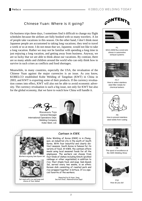# Chinese Yuan: Where is it going?

On business trips these days, I sometimes find it difficult to change my flight schedules because the airlines are fully booked with so many travelers. A lot of people take vacations in this season. On the other hand, I don't think most Japanese people are accustomed to taking long vacations; they tend to travel a week or so at most. I do not mean that we, Japanese, would not like to take a long vacation. Rather we may not be familiar with spending a long time in just enjoying a long vacation, and getting away from business. Anyway, we are so lucky that we are able to think about our vacations. By contrast, there are so many adults and children around the world who can only think how to survive in such crises as conflicts and food shortages.

Meanwhile, in many countries, especially the USA, the revaluation of the Chinese Yuan against the major currencies is an issue. As you know, KOBELCO established Kobe Welding of Tangshan (KWT) in China in 2003, and KWT is exporting some of their products. If the currency revaluation comes into effect, KWT will also not be able to avoid economic adversity. The currency revaluation is such a big issue, not only for KWT but also for the global economy, that we have to watch how China will handle it.





P1 MXA-430M flux-cored wire shines in automotive exhaust systems



P3-7 How to select stainless steel filler metals for chemical tankers



P8 How to prevent stainless steel welds from rusting



P9 The spool of excellence at the AWS Welding Show



**P10** How do you do!

Masakazu Tojo General Manager International Operations Dept. Welding Company Kobe Steel, Ltd.





Workers enjoying Sam Gyeob Sal



Set meal with rice and soup and choice of four dishes

## Canteen in KWK

Kobe Welding of Korea (KWK) is in Changwon, an industrial city in the south of South Korea. With four beautiful and clearly distinct seasons, South Korea is famous for its variety of food. At KWK, the canteen offers meals using local seasonal foods for all the employees. The workers can choose from four kinds of dishes including Kimchi (pickled cabbage or other vegetables) in addition to rice, their staple food, and soup. Sam Gyeob Sal, served every two weeks, is an ethnic Korean dish consisting of roasted pork and rice wrapped together in lettuce. It is a special favorite of the workers.

> Reported by Ki Hyun, Sung Section Chief, Administration Dept.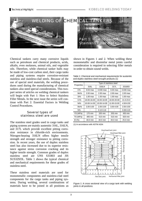

Chemical tankers carry many corrosive liquids such as petroleum and chemical products, acids, alkalis, even molasses, animal oils, and vegetable oils. Therefore, while chemical tanker hulls may be made of low-cost carbon steel, their cargo tanks and piping systems require corrosion-resistant stainless and stainless-clad steels. Because of the use of special steel materials, the welding procedures used during the manufacturing of chemical tankers also need special considerations. This twopart series of articles on welding chemical tankers will begin with Part 1: How to Select Stainless Filler Metals. In the next issue the series will continue with Part 2: Essential Factors in Welding Control Procedures.

## Several types of stainless steel are used

The stainless steel grades used in cargo tanks and piping systems are mainly austenitic 316L, 316LN, and 317L which provide excellent pitting corrosion resistance in chloride-rich environments. Nitrogen-bearing 316LN offers higher tensile strength and stronger resistance to pitting corrosion. In recent years, the use of duplex stainless steel has also increased due to its superior resistance against stress corrosion cracking and its higher tensile strength. Common grades of duplex stainless steel are UNS S31803 and JIS SUS329J3L. Table 1 shows the typical chemical and mechanical requirements for these grades of stainless steel.

These stainless steel materials are used for monometallic components and stainless-clad steel components for the cargo tanks and piping systems. During welding, several combinations of materials have to be joined in all positions as

shown in Figures 1 and 2. When welding these monometallic and dissimilar metal joints careful consideration is required in selecting filler metals in order to obtain sound welds.

| Table 1: Chemical and mechanical requirements for austenitic |
|--------------------------------------------------------------|
| and duplex stainless steel wrought products (1)              |

| Properties | Type of stainless steel |               |                    |               |
|------------|-------------------------|---------------|--------------------|---------------|
|            | 316L                    | 316LN         | 317L               | S31803        |
| $C\%$      | $0.03 \text{ max}$      | $0.030$ max   | $0.03 \text{ max}$ | $0.030$ max   |
| $Mn\%$     | $2.00$ max              | $2.00$ max    | $2.00$ max         | $2.00$ max    |
| Si%        | $1.00$ max              | $1.00$ max    | $1.00$ max         | $1.00$ max    |
| Cr%        | 16.00-18.00             | 16.00-18.00   | 18.00-20.00        | $21.0 - 23.0$ |
| Ni%        | 10.00-14.00             | 10.00-14.00   | 11.00-15.00        | 4.50-6.50     |
| Mo%        | 2.00-3.00               | 2.00-3.00     | 3.00-4.00          | 2.50-3.50     |
| N%         |                         | $0.10 - 0.16$ |                    | $0.08 - 0.20$ |
| YS (MPa)   | 170 min                 | 205 min       | 205 min            | 450 min       |
| TS (MPa)   | 485 min                 | 515 min       | 515 min            | 620 min       |
| EI(%)      | 40.0 min                | 40.0 min      | 40.0 min           | 25.0 min      |

(1) In accordance with ASTM A204



Figure 1: A cross sectional view of a cargo tank with welding joints in all positions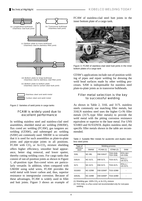

Figure 2: Varieties of weld joints in cargo tanks

# FCAW is widely used due to excellent performance

In welding stainless steel and stainless-clad steel assemblies, shielded metal arc welding (SMAW), flux cored arc welding (FCAW), gas tungsten arc welding (GTAW), and submerged arc welding (SAW) are commonly used. SMAW is so versatile that it is used for such assemblies as plate-to-plate joints and pipe-to-pipe joints in all positions. FCAW with  $CO<sub>2</sub>$  or Ar-CO<sub>2</sub> mixture shielding offers higher efficiency, smoother bead appearance, better slag removal, and lower spatter, thereby cutting welding costs. For cargo tanks that consist of out-of-position joints as shown in Figure 1, all-position type flux-cored wires are particularly versatile. In addition, when compared with GMAW using solid wires, FCAW provides the weld metal with lower carbon and, thus, superior resistance to intergranular corrosion. Because of these advantages, FCAW is widely used in fillet and butt joints. Figure 3 shows an example of FCAW of stainless-clad steel butt joints in the inner bottom plate of a cargo tank.



Figure 3: FCAW of stainless-clad steel butt joints in the inner bottom plates of a cargo tank

GTAW's applications include out-of-position welding of pipes and repair welding for dressing the weld bead surfaces made by other welding processes. SAW is indispensable for stainless steel plate-to-plate joints as in transverse bulkheads.

# Filler metal selection is the key to successful welding

As shown in Table 2, 316L and 317L stainless steels commonly use matching filler metals, but 316LN stainless steel uses the higher Cr-Ni filler metals (317L-type filler metals) to provide the weld metal with the pitting corrosion resistance equivalent or superior to the base metal. For UNS S31803 and SUS329J3L duplex stainless steel, the specific filler metals shown in the table are recommended.

Table 2: Suitable filler metals for austenitic and duplex stainless steel joints

| Type of            | Welding process |                 |                                    |                             |  |
|--------------------|-----------------|-----------------|------------------------------------|-----------------------------|--|
| stainless<br>steel | <b>SMAW</b>     | <b>FCAW (1)</b> | GTAW (2)                           | <b>SAW</b>                  |  |
| 316L               | <b>NC-36L</b>   | <b>DW-316LP</b> | <b>TGS-316L</b><br><b>TGX-316L</b> | $PFS-1M/$<br><b>US-316L</b> |  |
| 316LN              | <b>NC-317L</b>  | DW-317L         | <b>TGS-317L</b>                    | $PFS-1/$<br><b>US-317L</b>  |  |
| 317L               | <b>NC-317L</b>  | DW-317L         | <b>TGS-317L</b>                    | $PFS-1/$<br><b>US-317L</b>  |  |
| S31803             | <b>NC-329M</b>  | <b>DW-329AP</b> | <b>TGS-329M</b>                    |                             |  |
| 329J3L             | <b>NC-329M</b>  | <b>DW-329AP</b> | <b>TGS-329M</b>                    |                             |  |

(1) Shielding gas: 100%  $CO<sub>2</sub>$  or Ar-CO<sub>2</sub> mixture

(2) TGX-316L is a flux-cored rod recommended only for root-pass welding.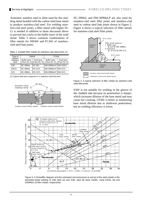Austenitic stainless steel is often used for the cladding metal bonded with the carbon steel base metal to produce stainless-clad steel. For welding stainless-clad steel joints, a filler metal with higher Ni-Cr is needed in addition to those discussed above to prevent hot cracks in the buffer layer of the weld metal. Table 3 shows common combinations of filler metals for SMAW and FCAW of stainlessclad steel butt joints.

|  | Table 3: Suitable filler metals for stainless-clad steel joints (1) |
|--|---------------------------------------------------------------------|
|--|---------------------------------------------------------------------|

| Type of                       | <b>SMAW</b>                                                     |                | <b>FCAW</b>         |  |                                     |                             |
|-------------------------------|-----------------------------------------------------------------|----------------|---------------------|--|-------------------------------------|-----------------------------|
| cladded<br>stainless<br>steel | Final layer<br><b>Buffer layer</b><br>(Pass No. 4) (Pass No. 5) |                |                     |  | <b>Buffer layer</b><br>(Pass No. 4) | Final layer<br>(Pass No. 5) |
| 316L                          | NC-39MoL                                                        | <b>NC-36L</b>  | DW-309MoLP DW-316LP |  |                                     |                             |
| 316LN                         | NC-39MoL                                                        | <b>NC-317L</b> | DW-309MoLP DW-317L  |  |                                     |                             |
| 317L                          | NC-39MoL                                                        | <b>NC-317L</b> | DW-309MoLP DW-317L  |  |                                     |                             |

(1) Typical weld pass sequence in a stainless-clad butt joint:



Carbon steel base metal Carbon steel weld metal

NC-39MoL and DW-309MoLP are also used for stainless-clad steel fillet joints and stainless-clad steel to carbon steel butt joints shown in Figure 2. Figure 4 shows a typical selection of filler metals for stainless-clad steel fillet joints.



Figure 4: A typical selection of filler metals for stainless-clad steel fillet joints

SAW is not suitable for welding in the groove of the cladded side because its penetration is deeper, which increases dilution of the base metal and may cause hot cracking. GTAW is better at minimizing base metal dilution due to shallower penetration, but its welding efficiency is lower.



Figure 5: A Schaeffler diagram and the estimated microstructures (e and g) of the weld metals in the dissimilar-metal welding of mild steel (a) and 316L steel (b) base metals, using E316L (d) and E309MoL (f) filler metals, respectively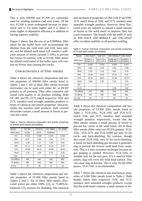This is why SMAW and FCAW are commonly used for welding stainless-clad steel joints. Of the two, FCAW is more widespread because its deposition rate is 3-4 times higher and it is about 2 times higher in deposition efficiency in addition to having superior usability.

Figure 5 shows that the use of an E309MoL filler metal for the buffer layer will accommodate the dilution from the mild steel and 316L base metals, and the diluted weld metal will contain a sufficient amount of ferrite (around 5-10%) to prevent hot cracks. In contrast, with an E316L filler metal, the diluted weld metal of the buffer layer will contain no ferrite, thus causing hot cracks.

## Characteristics of filler metals

Table 4 shows the chemical composition and tensile properties of SMAW filler metals listed in Tables 2 and 3. All of these filler metals (covered electrodes) can be used with either AC or DCEP polarity in all positions. They offer consistent and sound weld quality in all position welding. Both NC-36L and NC-317L match respective 316L and 317L stainless steel wrought annealed products in terms of chemical and tensile properties. However, unlike the stainless steel products, both covered electrodes contain a small amount of ferrite to prevent hot cracks.

Table 4: Typical chemical composition and tensile properties of SMAW weld metals (as-welded)

| <b>Brand</b> | <b>NC-36L</b> | <b>NC317L</b> | NC-39MoL | <b>NC-329M</b> |
|--------------|---------------|---------------|----------|----------------|
| AWS class.   | E316L         | E317L         | E309MoL  |                |
| C%           | 0.023         | 0.030         | 0.029    | 0.030          |
| Si%          | 0.57          | 0.50          | 0.51     | 0.71           |
| Mn%          | 1.56          | 1.17          | 1.28     | 0.62           |
| Ni%          | 12.17         | 13.28         | 12.65    | 9.44           |
| Cr%          | 18.68         | 19.11         | 23.08    | 24.51          |
| Mo%          | 2.20          | 3.50          | 2.29     | 3.25           |
| N%           |               |               |          | 0.16           |
| YS (MPa)     | 420           | 440           | 450      | 640            |
| TS (MPa)     | 580           | 600           | 630      | 860            |
| EI(%)        | 45            | 39            | 41       | 28             |

Table 5 shows the chemical composition and tensile properties of FCAW filler metals listed in Tables 2 and 3. All of these filler metals (fluxcored wires) use either  $100\%$  CO<sub>2</sub> or 75-80%Arbalanced  $CO<sub>2</sub>$  mixture for shielding. The chemical

and mechanical properties of DW-316LP and DW-317L match those of 316L and 317L stainless steel annealed wrought products. However, these fluxcored wires are tailored to contain a small amount of ferrite in the weld metal to improve their hot crack resistance. The brands with the suffix P such as DW-316LP, DW-309MoLP and DW-329AP offer excellent usability in all position welding.

Table 5: Typical chemical composition and tensile properties of FCAW weld metals (as-welded)

| <b>Brand</b> | <b>DW-316LP</b>        | DW-317L                | DW-309MoLP                 | <b>DW-329AP</b>        |
|--------------|------------------------|------------------------|----------------------------|------------------------|
| AWS class.   | E316LT1-1<br>E316LT1-4 | E317LT0-1<br>E317LT0-4 | E309LMoT1-1<br>E309LMoT1-4 | E2209T1-1<br>E2209T1-4 |
| C%           | 0.028                  | 0.025                  | 0.025                      | 0.027                  |
| Si%          | 0.60                   | 0.59                   | 0.62                       | 0.58                   |
| $Mn\%$       | 1.50                   | 1.10                   | 0.81                       | 0.78                   |
| Ni%          | 12.65                  | 13.01                  | 12.44                      | 9.42                   |
| Cr%          | 18.35                  | 19.81                  | 22.60                      | 23.34                  |
| Mo%          | 2.68                   | 3.35                   | 2.21                       | 3.42                   |
| $N\%$        |                        |                        |                            | 0.14                   |
| Cu%          |                        |                        | 0.05                       | 0.02                   |
| YS (MPa)     | 370                    | 380                    | 540                        | 620                    |
| TS (MPa)     | 540                    | 590                    | 699                        | 830                    |
| EL(%)        | 43                     | 37                     | 30                         | 29                     |

Table 6 shows the chemical composition and tensile properties of GTAW filler metals listed in Table 2. TGS-316L, TGX-316L and TGS-317L match 316L and 317L stainless steel annealed wrought products respectively, except that the filler metals contain a small percent of ferrite to prevent hot cracks in the weld metal. All of these filler metals (filler rods) use DCEN polarity. TGS-316L, TGS-317L and TGS-329M use pure Ar for torch- and back-shielding. By contrast, though flux-cored TGX-316L uses Ar for torch-shielding, it needs no back-shielding gas because it generates slag to prevent the reverse weld bead from oxidation. This is a very economic technique because no gas purging is needed. However, TGX-316L is suitable only for the root pass. If it is used for filler passes, slag will cover the weld bead surface. This can cause slag inclusions. This is why, for the filler passes, TGS-316L is recommended.

Table 7 shows the chemical and mechanical properties of SAW filler metals listed in Table 2. Both brands match their respective 316L and 317L stainless steel annealed wrought products, except that the weld metal contains a small amount of fer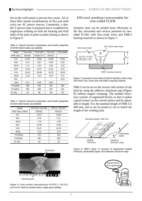rite in the weld metal to prevent hot cracks. All of these filler metals (combinations of flux and solid wire) use AC power sources. Commonly, a double-V groove joint is prepared and is completed by single-pass welding on both the backing and final sides of the joint in plate-to-plate joining as shown in Figure 6.

|  |                                 | Table 6: Typical chemical composition and tensile properties |  |  |
|--|---------------------------------|--------------------------------------------------------------|--|--|
|  | of GTAW weld metals (as-welded) |                                                              |  |  |

| <b>Brand</b> | <b>TGS-316L</b> | <b>TGX-316L</b> | <b>TGS-317L</b> | <b>TGS-329M</b> |
|--------------|-----------------|-----------------|-----------------|-----------------|
| AWS class.   | <b>ER316L</b>   | R316LT1-5       | <b>ER317L</b>   |                 |
| C%           | 0.014           | 0.016           | 0.010           | 0.011           |
| Si%          | 0.41            | 0.87            | 0.38            | 0.30            |
| $Mn\%$       | 1.74            | 1.55            | 1.80            | 1.02            |
| Ni%          | 12.29           | 12.47           | 13.11           | 9.13            |
| Cr%          | 19.22           | 18.89           | 18.76           | 25.05           |
| Mo%          | 2.19            | 2.32            | 3.49            | 3.31            |
| $N\%$        |                 |                 |                 | 0.15            |
| Cu%          | 0.11            | 0.03            | 0.03            |                 |
| YS (MPa)     | 390             | 440             | 410             | 660             |
| TS (MPa)     | 550             | 600             | 570             | 810             |
| EL(%)        | 43              | 38              | 39              | 34              |

Table 7: Typical chemical composition and tensile properties of SAW weld metals (as-welded)

| <b>Brand</b>      | PFS-1M / US-316L | PFS-1 / US-317L |
|-------------------|------------------|-----------------|
| AWS Class. (Wire) | <b>ER316L</b>    | <b>ER317L</b>   |
| $C\%$             | 0.027            | 0.023           |
| Si%               | 0.75             | 0.71            |
| $Mn\%$            | 1.76             | 1.80            |
| Ni%               | 11.90            | 13.60           |
| Cr%               | 19.17            | 18.78           |
| Mo%               | 2.10             | 3.37            |
| YS (MPa)          | 370              | 410             |
| TS (MPa)          | 550              | 590             |
| EL(%)             | 40               | 42              |



Figure 6: Cross section macrostructure of PFS-1 / US-317L  $(4.0 \text{ mm}\,\Phi)$  weld by double-sided, single-pass welding

## Efficient welding consumable for one-sided FCAW

Stainless steel can be welded more efficiently in the flat, horizontal and vertical positions by onesided FCAW with flux-cored wires and FBB-3 backing material as shown in Figure 7.



Figure 7: Example of one-sided FCAW of stainless steel using DW-316LP flux-cored wire and FBB-3 backing material

FBB-3 can be set on the reverse side surface of the joint by using the adhesive aluminum tape (Figure 8) without magnet clamping. The molded refractory consists of segmented blocks so that it makes a good contact on the curved surface and be adjustable in length. For, the standard length of FBB-3 is 600 mm, and it can be joined or cut to match the length of the welding joint.



Figure 8: FBB-3 (Type T) consists of segmented molded refractory, detachable paper, and adhesive aluminum tape

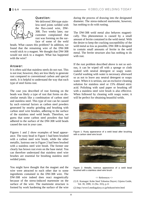

# Question:

We delivered 304-type stainless steel joints welded with the flux-cored wire, DW-308. Two weeks later, our customer complained that rust was forming on the surface of some of the weld

beads. What causes this problem? In addition, we found that the remaining wire of the DW-308 would stick to a magnet. We thought that DW-308 would not stick to a magnet. What has happened with the wire?

## Answer:

It is often said that stainless steels do not rust. This is not true; however, they are less likely to generate rust compared to conventional carbon and special steels. It is helpful to understand the way that each type of steel forms rust.

The case you described of rust forming on the beads was likely a type of rust that forms on dissimilar metals like a combination of carbon steel and stainless steel. This type of rust can be caused by such external factors as carbon steel powders generated by nearby grinding and brushing with carbon steel wire brushes, adhering to the surface of the stainless steel weld beads. Therefore, we guess that some carbon steel powders that had adhered to the surface of the DW-308 weld beads caused the rust in your case.

Figures 1 and 2 show examples of bead appearance. The rusty bead in Figure 1 had been brushed with a carbon steel wire brush, while the other metallic, lustrous one in Figure 2 had been brushed with a stainless steel wire brush. The former one clearly has brown rust even on the base metal. You can therefore understand that stainless steel wire brushes are essential for brushing stainless steel welded joints.

You might have thought that the magnet and the wire were attracted to each other due to some ingredients contained in the DW-308 wire. The DW-308 wire indeed does react magnetically because of the stress-induced martensite on the surface of the wire. The martensite structure is formed by work hardening the surface of the wire

during the process of drawing into the designated diameter. The stress-induced martensite, however, has nothing to do with rusting.

The DW-308 weld metal also behaves magnetically. This phenomenon is caused by a small amount of ferrite contained in the weld metal. With the desire to keep the cracking susceptibility of the weld metal as low as possible, DW-308 is designed to contain small amounts of ferrite in the weld metal. The ferrite structure also has nothing to do with rust.

If the rust problem described above is not so serious, it can be wiped off with a sponge or cloth soaked with neutral detergent or soapy water. Careful washing with water is necessary afterward so as not to leave any neutral detergent or soapy water. When it is serious, use an exclusive cleaning solution for stainless steel or 15% diluted nitric acid. Polishing with sand paper or brushing off with a stainless steel wire brush is also effective. When followed by cleaning with soapy water, it will be perfect for obtaining beautiful welds.



Figure 1: Rusty appearance of a weld bead after brushing with a carbon steel wire brush



Figure 2: Metallic, lustrous appearance of a weld bead brushed with a stainless steel wire brush

#### $\langle$  References  $\langle$

- (1) E. Kumagai: Kobe Steel Yohsetsu Dayori, Gijutsu Guide, Vol. 39, 1999, 11 (No. 355), p.11
- (2) http://www5.mediagalaxy.co.jp/hokusei/teire.html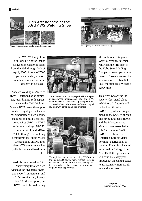

Venue photo source: www.dallasconventioncenter.com Show-opening photo source: www.aws.org



The AWS Welding Show 2005 was held at the Dallas Convention Center in Texas from the 26th through 28th of April, 2005. A total of 7600 people attended, a record number compared with the last show in Chicago.

Kobelco Welding of America (KWAI) attended as an exhibitor, recording its 16th appearance in the AWS Welding Shows. KWAI used the opportunity to highlight the technical superiority of high-quality stainless and mild steel fluxcored wires (DW and DWG series major alloys, DW-50, Frontiarc-711, and MXA-70C6) through live welding demonstrations, audio-visual presentations on a 60-inch plasma TV screen as well as by displaying weld bead samples.

KWAI also celebrated its 15th Anniversary through such events as the "Kobelco Invitational Golf Tournament" and the "15th Anniversary Reception." At the reception, the KWAI staff cheered during



The KOBELCO booth displayed with the spool of excellence: Unsurpassed DW and DWG series stainless FCWs and highly reputed carbon steel FCWs. The KWAI staff were busy all day long with coming and going visitors.



Through live demonstrations using DW-308L at the KOBELCO booth, many visitors knew its excellence: unmatched low fume, less spattering, arc stability, slag removal, weld pool wetting and bead appearance.

 the traditional "Kagami-Wari" ceremony, in which Mr. Aida, the President of the Kobe Steel Welding Company, broke open a large barrel of Sake (Japanese rice wire) and offered free Sake to all the attendees. We had a happy time!

This AWS Show was the society's last stand-alone exhibition. In future it will be held jointly with FABTECH, which is organized by the Society of Manufacturing Engineers (SME) and the Fabricators and Manufactures Association (FMA). The new AWS  $\&$ FABTECH show, North America's Largest Metal Forming, Fabrication, & Welding Event, is scheduled to be held in Chicago from Nov. 13-16 this year, and it will continue every year throughout the United States to attract many more exhibitors and attendees.

> Reported by Andrew Sawada, KWAI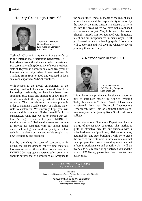# Hearty Greetings from KSL



Toshiyuki Okuzumi General Manager IOD, Welding Company Kobe Steel, Ltd.

Toshiyuki Okuzumi is my name. I was transferred to the International Operations Department (IOD) last March from the domestic sales department. My career at Welding Company of Kobe Steel consists of 16 years in domestic sales and five years of international activity, when I was stationed in Thailand from 1995 to 2000 and engaged in local sales and exports to ASEAN countries.

With respect to the global environment of the welding material business, demand has been increasing consistently, but there have been corresponding price hikes and shortages of raw materials due mainly to the rapid growth of the Chinese economy. This compels us to raise our prices in order to maintain a stable supply of welding materials to customers. We sincerely hope you will understand this situation. Under these difficult circumstances, what must we do to expand our customer's usage of our well-reputed KOBELCO welding materials? I believe that we must continue to provide our customers with our unique added value such as high and uniform quality, excellent technical service, constant and stable supply, and new technology and products.

Led by the sharp increase of consumption in China, the global demand for welding materials has now surpassed three million tons a year, and KOBELCO's aggregate overseas sales volume is about to surpass that of domestic sales. Assigned to

the post of the General Manager of the IOD at such a time, I understand the responsibility taken on by the IOD. At the same time, it is a pleasure to try to go into the areas where we have not established our existence as yet. Yes, it is worth the work. Though I myself am not equipped with linguistic talent and am inexperienced in many ways, I will go forward with a challenging spirit. I hope you will support me and will give me whatever advice you may think necessary.

# A Newcomer in the IOD



Yoshiteru Sasaki IOD, Welding Company Kobe Steel, Ltd.

It is an honor and privilege to be given an opportunity to introduce myself in Kobelco Welding Today. My name is Yoshiteru Sasaki. I have been transferred from our Technical Development Department. Now I am an engineer-turned-salesman two years after joining Kobe Steel fresh from college.

In the international Operations Department, I am in charge of the ASEAN countries. This market is quite an attractive area for our business with a brisk business in shipbuilding, offshore structures, automobiles, and steel building. I will try to grasp the needs of our customers in these counties so that I can propose the choice of welding materials that is best in performance and usability. As I will do my best to be a reliable bridge between you and the KOBELCO Group, please feel free to contact me at any time.

#### KOBELCO WELDING TODAY July 2005, Vol. 8 (No. 3)

Publisher: International Operations Dept., Welding Company, Kobe Steel, Ltd. Editor: KOBELCO WELDING TODAY Editorial Staff URL: http/www.kobelco.co.jp E-mail: iod@melts.kobelco.co.jp